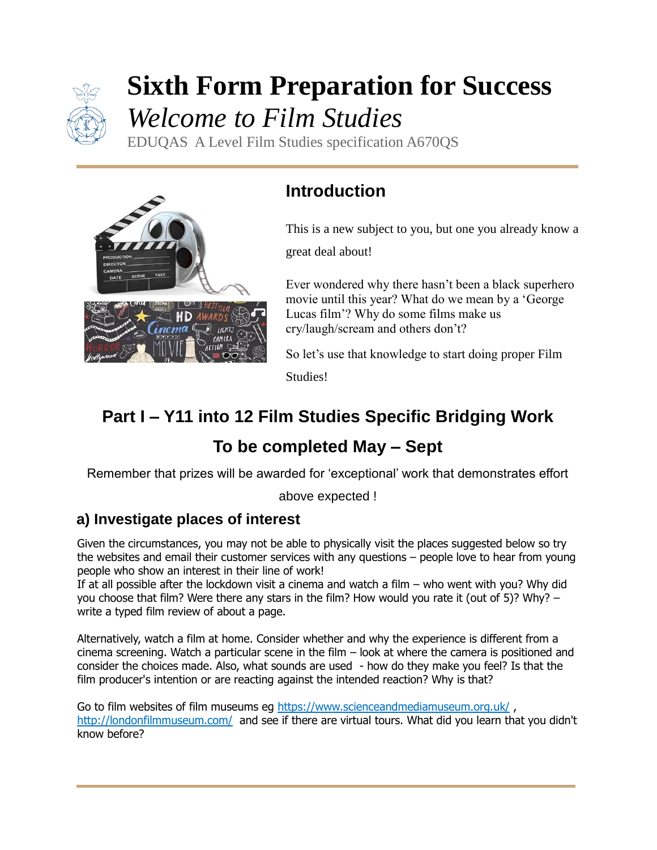

# **Sixth Form Preparation for Success** *Welcome to Film Studies*

EDUQAS A Level Film Studies specification A670QS



# **Introduction**

This is a new subject to you, but one you already know a

great deal about!

Ever wondered why there hasn't been a black superhero movie until this year? What do we mean by a 'George Lucas film'? Why do some films make us cry/laugh/scream and others don't?

So let's use that knowledge to start doing proper Film Studies!

# **Part I – Y11 into 12 Film Studies Specific Bridging Work**

# **To be completed May – Sept**

Remember that prizes will be awarded for 'exceptional' work that demonstrates effort

above expected !

## **a) Investigate places of interest**

Given the circumstances, you may not be able to physically visit the places suggested below so try the websites and email their customer services with any questions – people love to hear from young people who show an interest in their line of work!

If at all possible after the lockdown visit a cinema and watch a film – who went with you? Why did you choose that film? Were there any stars in the film? How would you rate it (out of 5)? Why? – write a typed film review of about a page.

Alternatively, watch a film at home. Consider whether and why the experience is different from a cinema screening. Watch a particular scene in the film – look at where the camera is positioned and consider the choices made. Also, what sounds are used - how do they make you feel? Is that the film producer's intention or are reacting against the intended reaction? Why is that?

Go to film websites of film museums eg<https://www.scienceandmediamuseum.org.uk/>, <http://londonfilmmuseum.com/>and see if there are virtual tours. What did you learn that you didn't know before?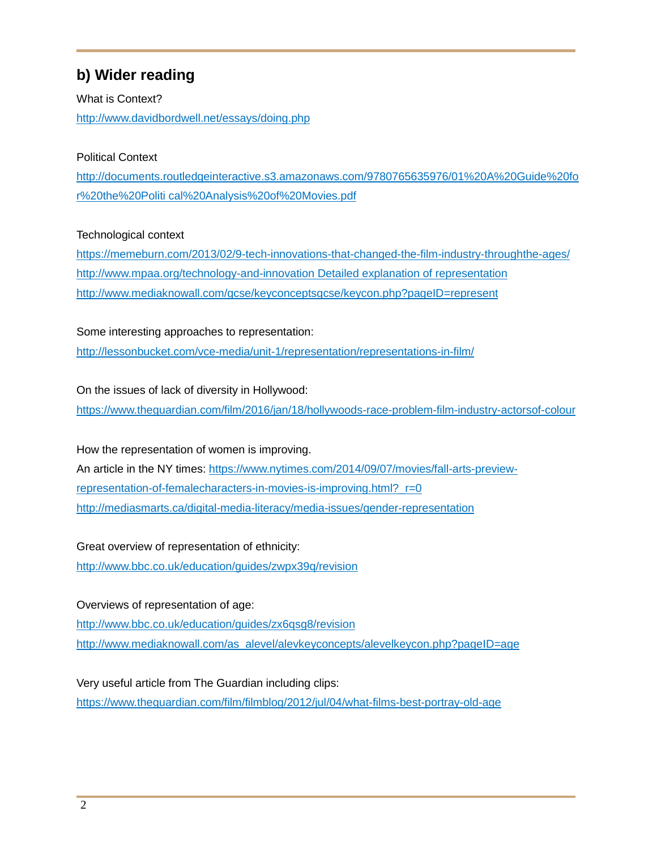## **b) Wider reading**

What is Context? http://www.davidbordwell.net/essays/doing.php

## Political Context

http://documents.routledgeinteractive.s3.amazonaws.com/9780765635976/01%20A%20Guide%20fo r%20the%20Politi cal%20Analysis%20of%20Movies.pdf

### Technological context

<https://memeburn.com/2013/02/9-tech-innovations-that-changed-the-film-industry-throughthe-ages/> http://www.mpaa.org/technology-and-innovation Detailed explanation of representation http://www.mediaknowall.com/gcse/keyconceptsgcse/keycon.php?pageID=represent

Some interesting approaches to representation: http://lessonbucket.com/vce-media/unit-1/representation/representations-in-film/

On the issues of lack of diversity in Hollywood:

<https://www.theguardian.com/film/2016/jan/18/hollywoods-race-problem-film-industry-actorsof-colour>

How the representation of women is improving. An article in the NY times: https://www.nytimes.com/2014/09/07/movies/fall-arts-previewrepresentation-of-femalecharacters-in-movies-is-improving.html? r=0 http://mediasmarts.ca/digital-media-literacy/media-issues/gender-representation

Great overview of representation of ethnicity: http://www.bbc.co.uk/education/guides/zwpx39q/revision

Overviews of representation of age: http://www.bbc.co.uk/education/guides/zx6qsg8/revision http://www.mediaknowall.com/as\_alevel/alevkeyconcepts/alevelkeycon.php?pageID=age

Very useful article from The Guardian including clips: https://www.theguardian.com/film/filmblog/2012/jul/04/what-films-best-portray-old-age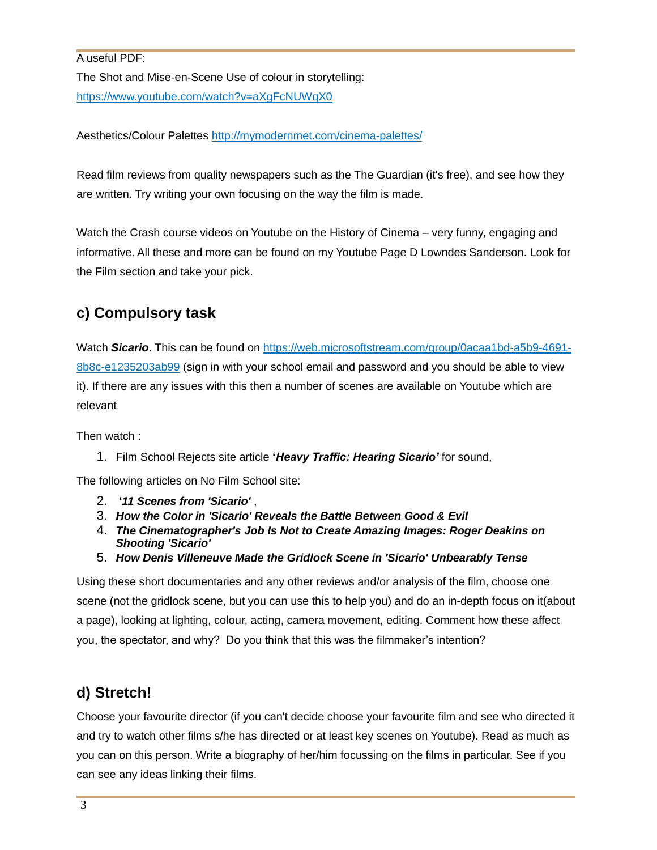A useful PDF: The Shot and Mise-en-Scene Use of colour in storytelling: https://www.youtube.com/watch?v=aXgFcNUWqX0

Aesthetics/Colour Palettes http://mymodernmet.com/cinema-palettes/

Read film reviews from quality newspapers such as the The Guardian (it's free), and see how they are written. Try writing your own focusing on the way the film is made.

Watch the Crash course videos on Youtube on the History of Cinema – very funny, engaging and informative. All these and more can be found on my Youtube Page D Lowndes Sanderson. Look for the Film section and take your pick.

## **c) Compulsory task**

Watch *Sicario*. This can be found on [https://web.microsoftstream.com/group/0acaa1bd-a5b9-4691-](https://owa.mcauley.org.uk/owa/redir.aspx?C=bwMi-gGUCFbdx6eBfOSqlEpTkxVFCPs4HeGioKA1ptOVjznCT9fVCA..&URL=https%3a%2f%2fweb.microsoftstream.com%2fgroup%2f0acaa1bd-a5b9-4691-8b8c-e1235203ab99) [8b8c-e1235203ab99](https://owa.mcauley.org.uk/owa/redir.aspx?C=bwMi-gGUCFbdx6eBfOSqlEpTkxVFCPs4HeGioKA1ptOVjznCT9fVCA..&URL=https%3a%2f%2fweb.microsoftstream.com%2fgroup%2f0acaa1bd-a5b9-4691-8b8c-e1235203ab99) (sign in with your school email and password and you should be able to view it). If there are any issues with this then a number of scenes are available on Youtube which are relevant

Then watch :

1. Film School Rejects site article **'***Heavy Traffic: Hearing Sicario'* for sound,

The following articles on No Film School site:

- 2. **'***11 Scenes from 'Sicario'* ,
- 3. *How the Color in 'Sicario' Reveals the Battle Between Good & Evil*
- 4. *The Cinematographer's Job Is Not to Create Amazing Images: Roger Deakins on Shooting 'Sicario'*
- 5. *How Denis Villeneuve Made the Gridlock Scene in 'Sicario' Unbearably Tense*

Using these short documentaries and any other reviews and/or analysis of the film, choose one scene (not the gridlock scene, but you can use this to help you) and do an in-depth focus on it(about a page), looking at lighting, colour, acting, camera movement, editing. Comment how these affect you, the spectator, and why? Do you think that this was the filmmaker's intention?

## **d) Stretch!**

Choose your favourite director (if you can't decide choose your favourite film and see who directed it and try to watch other films s/he has directed or at least key scenes on Youtube). Read as much as you can on this person. Write a biography of her/him focussing on the films in particular. See if you can see any ideas linking their films.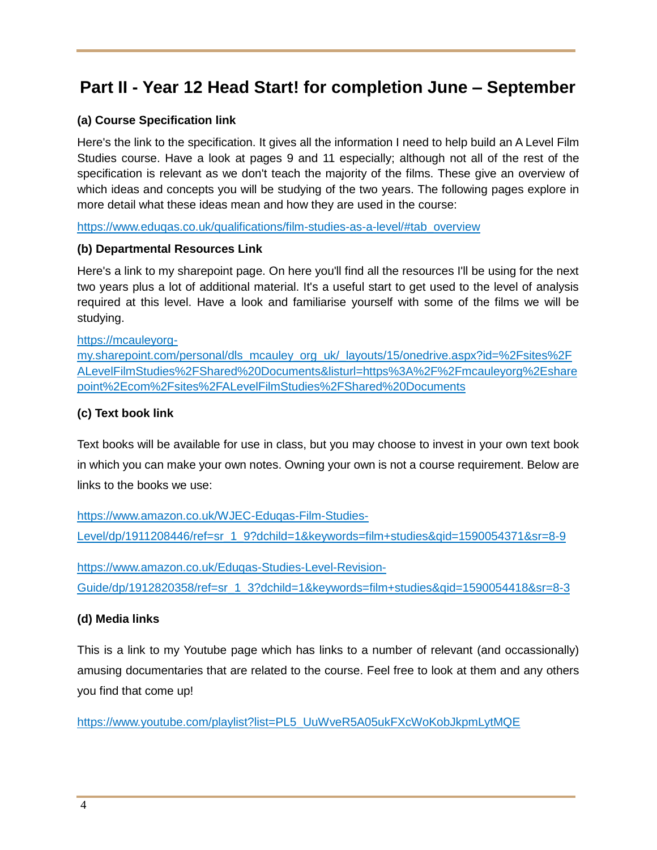## **Part II - Year 12 Head Start! for completion June – September**

## **(a) Course Specification link**

Here's the link to the specification. It gives all the information I need to help build an A Level Film Studies course. Have a look at pages 9 and 11 especially; although not all of the rest of the specification is relevant as we don't teach the majority of the films. These give an overview of which ideas and concepts you will be studying of the two years. The following pages explore in more detail what these ideas mean and how they are used in the course:

[https://www.eduqas.co.uk/qualifications/film-studies-as-a-level/#tab\\_overview](https://www.eduqas.co.uk/qualifications/film-studies-as-a-level/#tab_overview)

### **(b) Departmental Resources Link**

Here's a link to my sharepoint page. On here you'll find all the resources I'll be using for the next two years plus a lot of additional material. It's a useful start to get used to the level of analysis required at this level. Have a look and familiarise yourself with some of the films we will be studying.

#### [https://mcauleyorg-](https://mcauleyorg-my.sharepoint.com/personal/dls_mcauley_org_uk/_layouts/15/onedrive.aspx?id=%2Fsites%2FALevelFilmStudies%2FShared%20Documents&listurl=https%3A%2F%2Fmcauleyorg%2Esharepoint%2Ecom%2Fsites%2FALevelFilmStudies%2FShared%20Documents)

[my.sharepoint.com/personal/dls\\_mcauley\\_org\\_uk/\\_layouts/15/onedrive.aspx?id=%2Fsites%2F](https://mcauleyorg-my.sharepoint.com/personal/dls_mcauley_org_uk/_layouts/15/onedrive.aspx?id=%2Fsites%2FALevelFilmStudies%2FShared%20Documents&listurl=https%3A%2F%2Fmcauleyorg%2Esharepoint%2Ecom%2Fsites%2FALevelFilmStudies%2FShared%20Documents) [ALevelFilmStudies%2FShared%20Documents&listurl=https%3A%2F%2Fmcauleyorg%2Eshare](https://mcauleyorg-my.sharepoint.com/personal/dls_mcauley_org_uk/_layouts/15/onedrive.aspx?id=%2Fsites%2FALevelFilmStudies%2FShared%20Documents&listurl=https%3A%2F%2Fmcauleyorg%2Esharepoint%2Ecom%2Fsites%2FALevelFilmStudies%2FShared%20Documents) [point%2Ecom%2Fsites%2FALevelFilmStudies%2FShared%20Documents](https://mcauleyorg-my.sharepoint.com/personal/dls_mcauley_org_uk/_layouts/15/onedrive.aspx?id=%2Fsites%2FALevelFilmStudies%2FShared%20Documents&listurl=https%3A%2F%2Fmcauleyorg%2Esharepoint%2Ecom%2Fsites%2FALevelFilmStudies%2FShared%20Documents)

### **(c) Text book link**

Text books will be available for use in class, but you may choose to invest in your own text book in which you can make your own notes. Owning your own is not a course requirement. Below are links to the books we use:

[https://www.amazon.co.uk/WJEC-Eduqas-Film-Studies-](https://www.amazon.co.uk/WJEC-Eduqas-Film-Studies-Level/dp/1911208446/ref=sr_1_9?dchild=1&keywords=film+studies&qid=1590054371&sr=8-9)[Level/dp/1911208446/ref=sr\\_1\\_9?dchild=1&keywords=film+studies&qid=1590054371&sr=8-9](https://www.amazon.co.uk/WJEC-Eduqas-Film-Studies-Level/dp/1911208446/ref=sr_1_9?dchild=1&keywords=film+studies&qid=1590054371&sr=8-9)

[https://www.amazon.co.uk/Eduqas-Studies-Level-Revision-](https://www.amazon.co.uk/Eduqas-Studies-Level-Revision-Guide/dp/1912820358/ref=sr_1_3?dchild=1&keywords=film+studies&qid=1590054418&sr=8-3)[Guide/dp/1912820358/ref=sr\\_1\\_3?dchild=1&keywords=film+studies&qid=1590054418&sr=8-3](https://www.amazon.co.uk/Eduqas-Studies-Level-Revision-Guide/dp/1912820358/ref=sr_1_3?dchild=1&keywords=film+studies&qid=1590054418&sr=8-3)

### **(d) Media links**

This is a link to my Youtube page which has links to a number of relevant (and occassionally) amusing documentaries that are related to the course. Feel free to look at them and any others you find that come up!

[https://www.youtube.com/playlist?list=PL5\\_UuWveR5A05ukFXcWoKobJkpmLytMQE](https://www.youtube.com/playlist?list=PL5_UuWveR5A05ukFXcWoKobJkpmLytMQE)